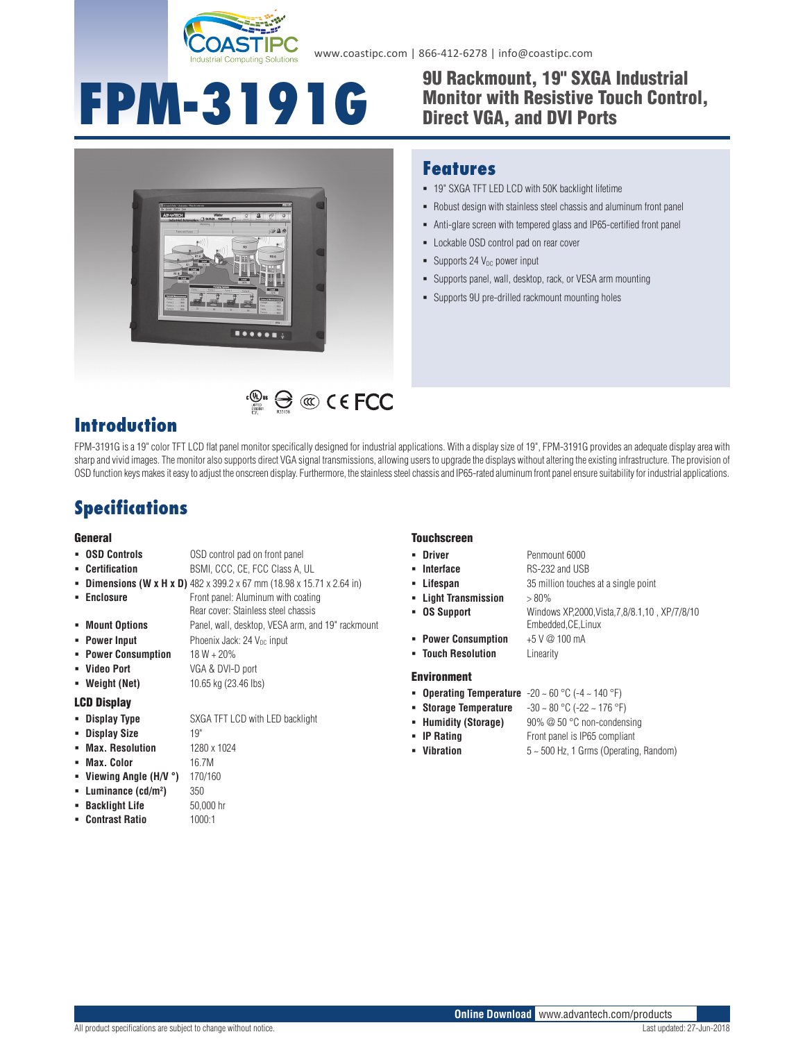

www.coastipc.com | 866-412-6278 | info@coastipc.com

# **FPM-3191G** <sup>9U Rackmount, 19" SXGA Industrial<br>
Monitor with Resistive Touch Contr<br>
Direct VGA, and DVI Ports</sup>

## Monitor with Resistive Touch Control, Direct VGA, and DVI Ports



#### **Features**

- 19" SXGA TFT LED LCD with 50K backlight lifetime
- Robust design with stainless steel chassis and aluminum front panel
- Anti-glare screen with tempered glass and IP65-certified front panel
- **-** Lockable OSD control pad on rear cover
- $\blacksquare$  Supports 24 V<sub>DC</sub> power input
- Supports panel, wall, desktop, rack, or VESA arm mounting
- Supports 9U pre-drilled rackmount mounting holes

### **Introduction**

FPM-3191G is a 19" color TFT LCD flat panel monitor specifically designed for industrial applications. With a display size of 19", FPM-3191G provides an adequate display area with sharp and vivid images. The monitor also supports direct VGA signal transmissions, allowing users to upgrade the displays without altering the existing infrastructure. The provision of OSD function keys makes it easy to adjust the onscreen display. Furthermore, the stainless steel chassis and IP65-rated aluminum front panel ensure suitability for industrial applications.

 $\mathbb{C}^{\mathbb{Q}_{\text{us}}}$   $\bigoplus$   $\mathbb{C}$   $\mathbb{C}$   $\in$  FCC

## **Specifications**

#### **General**

#### **OSD Controls** OSD control pad on front panel **Certification** BSMI, CCC, CE, FCC Class A, UL

- **Dimensions (W x H x D)** 482 x 399.2 x 67 mm (18.98 x 15.71 x 2.64 in)
- **Enclosure Front panel: Aluminum with coating** Rear cover: Stainless steel chassis
- **Mount Options** Panel, wall, desktop, VESA arm, and 19" rackmount
- **Power Input** Phoenix Jack: 24 V<sub>DC</sub> input
- **Power Consumption** 18 W + 20%
	-
- 

#### LCD Display

- **Display Type** SXGA TFT LCD with LED backlight
- 
- **Max. Resolution** 1280 x 1024
- **Max. Color** 16.7M
- **Viewing Angle (H/V °)** 170/160 **)** 350
- **Luminance (cd/m2**
- **Backlight Life** 50,000 hr
- **Contrast Ratio** 1000:1

#### **Touchscreen**

- **Driver** Penmount 6000
- **Interface** RS-232 and USB
- **Lifespan** 35 million touches at a single point
- **Light Transmission** > 80%
- **OS Support** Windows XP,2000,Vista,7,8/8.1,10 , XP/7/8/10
	- Embedded,CE,Linux
- **Power Consumption** +5 V @ 100 mA
- **Touch Resolution** Linearity

#### Environment

- **Operating Temperature** -20 ~ 60 °C (-4 ~ 140 °F)
	- **Storage Temperature** -30 ~ 80 °C (-22 ~ 176 °F)
- **Humidity (Storage)** 90% @ 50 °C non-condensing
- **IP Rating** Front panel is IP65 compliant
- **Vibration** 5 ~ 500 Hz, 1 Grms (Operating, Random)
- **Weight (Net)** 10.65 kg (23.46 lbs)
- **Video Port** VGA & DVI-D port
	-

**- Display Size** 19"